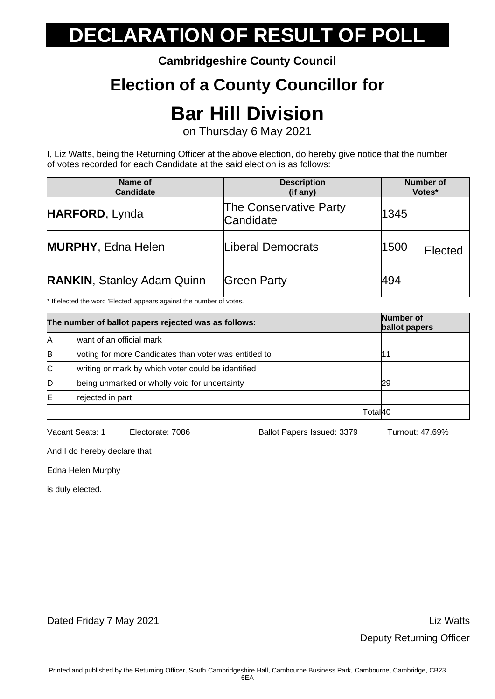**Cambridgeshire County Council**

### **Election of a County Councillor for**

## **Bar Hill Division**

on Thursday 6 May 2021

I, Liz Watts, being the Returning Officer at the above election, do hereby give notice that the number of votes recorded for each Candidate at the said election is as follows:

| Name of<br>Candidate              | <b>Description</b><br>(if any)             | <b>Number of</b><br>Votes* |
|-----------------------------------|--------------------------------------------|----------------------------|
| HARFORD, Lynda                    | <b>The Conservative Party</b><br>Candidate | 1345                       |
| <b>MURPHY, Edna Helen</b>         | Liberal Democrats                          | 1500<br>Elected            |
| <b>RANKIN, Stanley Adam Quinn</b> | Green Party                                | 494                        |

\* If elected the word 'Elected' appears against the number of votes.

|    | The number of ballot papers rejected was as follows:  |          | <b>Number of</b><br>ballot papers |
|----|-------------------------------------------------------|----------|-----------------------------------|
| Α  | want of an official mark                              |          |                                   |
| B  | voting for more Candidates than voter was entitled to |          |                                   |
| ІС | writing or mark by which voter could be identified    |          |                                   |
| D  | being unmarked or wholly void for uncertainty         |          | 29                                |
| ΙE | rejected in part                                      |          |                                   |
|    |                                                       | Totall40 |                                   |

Vacant Seats: 1 Electorate: 7086 Ballot Papers Issued: 3379 Turnout: 47.69%

And I do hereby declare that

Edna Helen Murphy

is duly elected.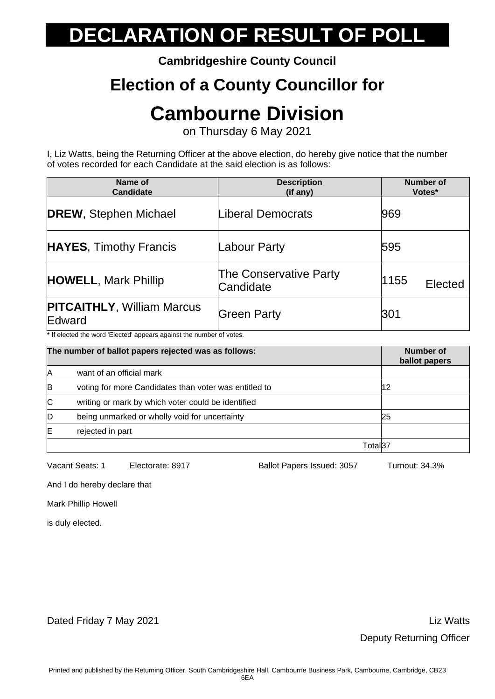**Cambridgeshire County Council**

### **Election of a County Councillor for**

### **Cambourne Division**

on Thursday 6 May 2021

I, Liz Watts, being the Returning Officer at the above election, do hereby give notice that the number of votes recorded for each Candidate at the said election is as follows:

| Name of<br><b>Candidate</b>                 | <b>Description</b><br>(if any)             | <b>Number of</b><br>Votes* |
|---------------------------------------------|--------------------------------------------|----------------------------|
| <b>DREW, Stephen Michael</b>                | Liberal Democrats                          | 969                        |
| <b>HAYES, Timothy Francis</b>               | Labour Party                               | 595                        |
| <b>HOWELL, Mark Phillip</b>                 | <b>The Conservative Party</b><br>Candidate | 1155<br>Elected            |
| <b>PITCAITHLY, William Marcus</b><br>Edward | <b>Green Party</b>                         | 301                        |

\* If elected the word 'Elected' appears against the number of votes.

|              | The number of ballot papers rejected was as follows:  |          | Number of<br>ballot papers |
|--------------|-------------------------------------------------------|----------|----------------------------|
| Α            | want of an official mark                              |          |                            |
| B            | voting for more Candidates than voter was entitled to |          | 12                         |
| $\mathsf{C}$ | writing or mark by which voter could be identified    |          |                            |
| D            | being unmarked or wholly void for uncertainty         |          | 25                         |
| E            | rejected in part                                      |          |                            |
|              |                                                       | Totall37 |                            |

Vacant Seats: 1 Electorate: 8917 Ballot Papers Issued: 3057 Turnout: 34.3%

And I do hereby declare that

Mark Phillip Howell

is duly elected.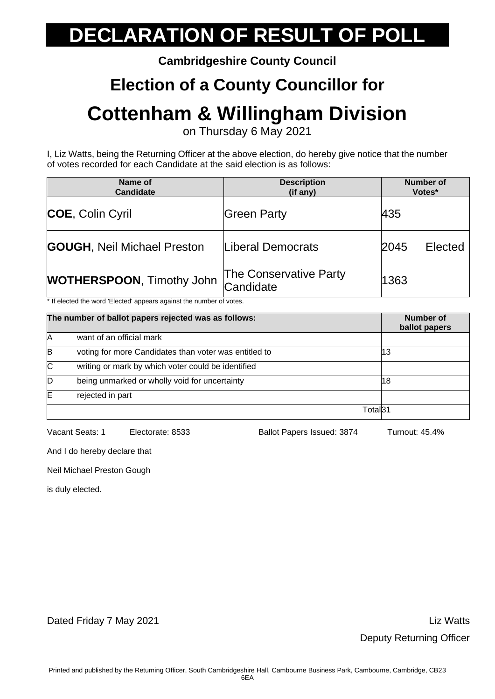**Cambridgeshire County Council**

#### **Election of a County Councillor for**

### **Cottenham & Willingham Division**

on Thursday 6 May 2021

I, Liz Watts, being the Returning Officer at the above election, do hereby give notice that the number of votes recorded for each Candidate at the said election is as follows:

| Name of<br><b>Candidate</b>        | <b>Description</b><br>(if any)             | <b>Number of</b><br>Votes* |
|------------------------------------|--------------------------------------------|----------------------------|
| <b>COE, Colin Cyril</b>            | <b>Green Party</b>                         | 435                        |
| <b>GOUGH, Neil Michael Preston</b> | Liberal Democrats                          | Elected<br>2045            |
| <b>WOTHERSPOON, Timothy John</b>   | <b>The Conservative Party</b><br>Candidate | 1363                       |

\* If elected the word 'Elected' appears against the number of votes.

|    | The number of ballot papers rejected was as follows:  |         | Number of<br>ballot papers |
|----|-------------------------------------------------------|---------|----------------------------|
| Α  | want of an official mark                              |         |                            |
| B  | voting for more Candidates than voter was entitled to |         | 13                         |
| ІС | writing or mark by which voter could be identified    |         |                            |
| ID | being unmarked or wholly void for uncertainty         |         | 18                         |
| E  | rejected in part                                      |         |                            |
|    |                                                       | Total31 |                            |

Vacant Seats: 1 Electorate: 8533 Ballot Papers Issued: 3874 Turnout: 45.4%

And I do hereby declare that

Neil Michael Preston Gough

is duly elected.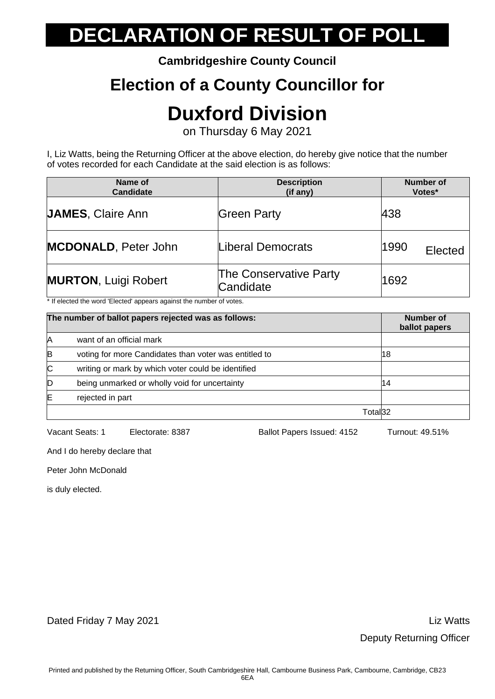**Cambridgeshire County Council**

### **Election of a County Councillor for**

## **Duxford Division**

on Thursday 6 May 2021

I, Liz Watts, being the Returning Officer at the above election, do hereby give notice that the number of votes recorded for each Candidate at the said election is as follows:

| Name of<br><b>Candidate</b> | <b>Description</b><br>(if any)      | <b>Number of</b><br>Votes* |
|-----------------------------|-------------------------------------|----------------------------|
| <b>JAMES, Claire Ann</b>    | <b>Green Party</b>                  | 438                        |
| <b>MCDONALD, Peter John</b> | Liberal Democrats                   | 1990<br>Elected            |
| <b>MURTON, Luigi Robert</b> | The Conservative Party<br>Candidate | 1692                       |

\* If elected the word 'Elected' appears against the number of votes.

|    | The number of ballot papers rejected was as follows:  |         | Number of<br>ballot papers |
|----|-------------------------------------------------------|---------|----------------------------|
| Α  | want of an official mark                              |         |                            |
| B  | voting for more Candidates than voter was entitled to |         | 18                         |
| IС | writing or mark by which voter could be identified    |         |                            |
| ID | being unmarked or wholly void for uncertainty         |         | 14                         |
| Έ  | rejected in part                                      |         |                            |
|    |                                                       | Total32 |                            |

Vacant Seats: 1 Electorate: 8387 Ballot Papers Issued: 4152 Turnout: 49.51%

And I do hereby declare that

Peter John McDonald

is duly elected.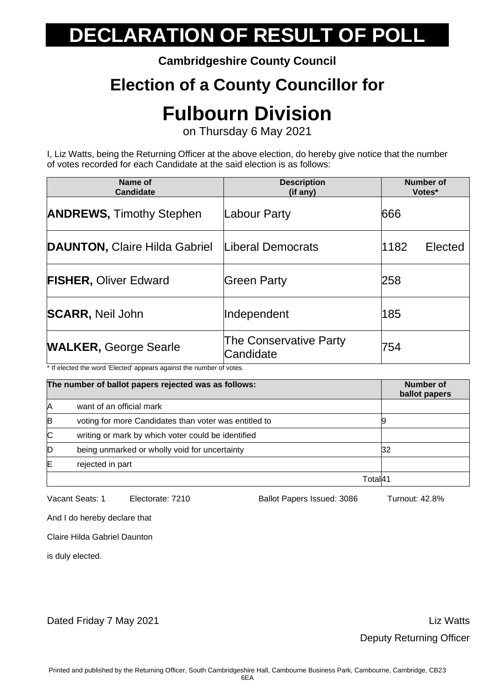**Cambridgeshire County Council**

### **Election of a County Councillor for**

## **Fulbourn Division**

on Thursday 6 May 2021

I, Liz Watts, being the Returning Officer at the above election, do hereby give notice that the number of votes recorded for each Candidate at the said election is as follows:

| Name of<br><b>Candidate</b>     | <b>Description</b><br>(if any)      | Number of<br>Votes* |
|---------------------------------|-------------------------------------|---------------------|
| <b>ANDREWS, Timothy Stephen</b> | Labour Party                        | 666                 |
| DAUNTON, Claire Hilda Gabriel   | Liberal Democrats                   | 1182<br>Elected     |
| <b>FISHER, Oliver Edward</b>    | <b>Green Party</b>                  | 258                 |
| <b>SCARR, Neil John</b>         | Independent                         | 185                 |
| <b>WALKER, George Searle</b>    | The Conservative Party<br>Candidate | 754                 |

\* If elected the word 'Elected' appears against the number of votes.

|    | The number of ballot papers rejected was as follows:  |         | Number of<br>ballot papers |
|----|-------------------------------------------------------|---------|----------------------------|
| Α  | want of an official mark                              |         |                            |
| B  | voting for more Candidates than voter was entitled to |         |                            |
| IС | writing or mark by which voter could be identified    |         |                            |
| D  | being unmarked or wholly void for uncertainty         |         | 32                         |
| Έ  | rejected in part                                      |         |                            |
|    |                                                       | ⊺otall4 |                            |

Vacant Seats: 1 Electorate: 7210 Ballot Papers Issued: 3086 Turnout: 42.8%

And I do hereby declare that

Claire Hilda Gabriel Daunton

is duly elected.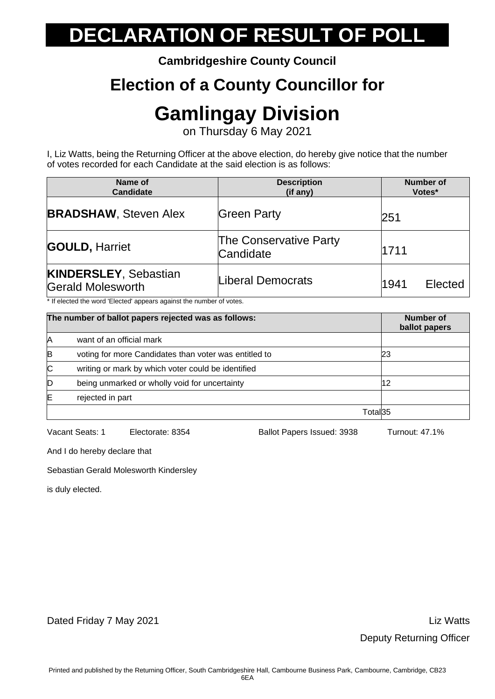**Cambridgeshire County Council**

### **Election of a County Councillor for**

## **Gamlingay Division**

on Thursday 6 May 2021

I, Liz Watts, being the Returning Officer at the above election, do hereby give notice that the number of votes recorded for each Candidate at the said election is as follows:

| Name of<br><b>Candidate</b>                       | <b>Description</b><br>(if any)             | <b>Number of</b><br>Votes* |
|---------------------------------------------------|--------------------------------------------|----------------------------|
| <b>BRADSHAW, Steven Alex</b>                      | <b>Green Party</b>                         | 251                        |
| <b>GOULD, Harriet</b>                             | <b>The Conservative Party</b><br>Candidate | 1711                       |
| <b>KINDERSLEY, Sebastian</b><br>Gerald Molesworth | Liberal Democrats                          | 1941<br>Elected            |

\* If elected the word 'Elected' appears against the number of votes.

|   | The number of ballot papers rejected was as follows:  |         | Number of<br>ballot papers |
|---|-------------------------------------------------------|---------|----------------------------|
| Α | want of an official mark                              |         |                            |
| B | voting for more Candidates than voter was entitled to |         | 23                         |
| C | writing or mark by which voter could be identified    |         |                            |
| D | being unmarked or wholly void for uncertainty         |         | 12                         |
| Έ | rejected in part                                      |         |                            |
|   |                                                       | Total35 |                            |

Vacant Seats: 1 Electorate: 8354 Ballot Papers Issued: 3938 Turnout: 47.1%

And I do hereby declare that

Sebastian Gerald Molesworth Kindersley

is duly elected.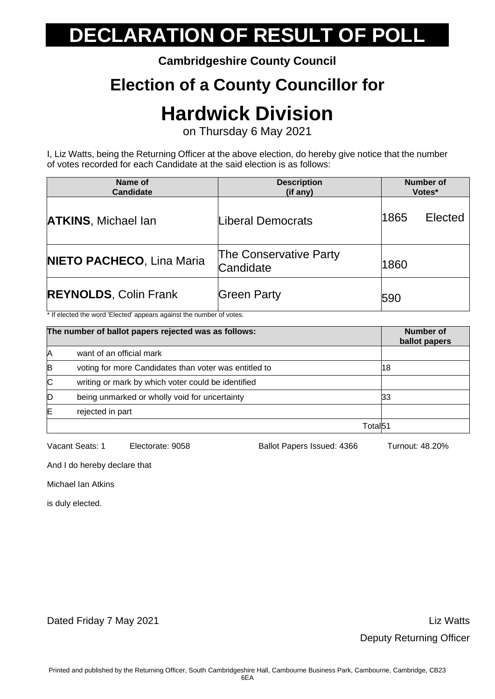**Cambridgeshire County Council**

### **Election of a County Councillor for**

### **Hardwick Division**

on Thursday 6 May 2021

I, Liz Watts, being the Returning Officer at the above election, do hereby give notice that the number of votes recorded for each Candidate at the said election is as follows:

| Name of<br><b>Candidate</b>      | <b>Description</b><br>(if any)      | <b>Number of</b><br>Votes* |
|----------------------------------|-------------------------------------|----------------------------|
| <b>ATKINS, Michael Ian</b>       | Liberal Democrats                   | 1865<br>Elected            |
| <b>NIETO PACHECO, Lina Maria</b> | The Conservative Party<br>Candidate | 1860                       |
| <b>REYNOLDS, Colin Frank</b>     | <b>Green Party</b>                  | <b>590</b>                 |

\* If elected the word 'Elected' appears against the number of votes.

| The number of ballot papers rejected was as follows: |                                                       | Number of<br>ballot papers |    |
|------------------------------------------------------|-------------------------------------------------------|----------------------------|----|
| Α                                                    | want of an official mark                              |                            |    |
| B                                                    | voting for more Candidates than voter was entitled to |                            | 18 |
| $\mathsf{C}$                                         | writing or mark by which voter could be identified    |                            |    |
| D                                                    | being unmarked or wholly void for uncertainty         |                            | 33 |
| Έ                                                    | rejected in part                                      |                            |    |
|                                                      |                                                       | Totall51                   |    |

Vacant Seats: 1 Electorate: 9058 Ballot Papers Issued: 4366 Turnout: 48.20%

And I do hereby declare that

Michael Ian Atkins

is duly elected.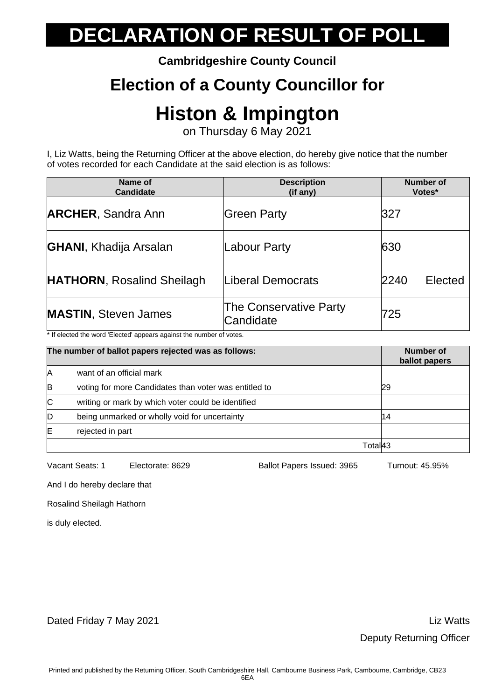**Cambridgeshire County Council**

### **Election of a County Councillor for**

## **Histon & Impington**

on Thursday 6 May 2021

I, Liz Watts, being the Returning Officer at the above election, do hereby give notice that the number of votes recorded for each Candidate at the said election is as follows:

| Name of<br>Candidate              | <b>Description</b><br>(if any)             | <b>Number of</b><br>Votes* |
|-----------------------------------|--------------------------------------------|----------------------------|
| <b>ARCHER, Sandra Ann</b>         | Green Party                                | <b>327</b>                 |
| <b>GHANI, Khadija Arsalan</b>     | Labour Party                               | 630                        |
| <b>HATHORN, Rosalind Sheilagh</b> | Liberal Democrats                          | 2240<br>Elected            |
| <b>MASTIN, Steven James</b>       | <b>The Conservative Party</b><br>Candidate | 725                        |

\* If elected the word 'Elected' appears against the number of votes.

| The number of ballot papers rejected was as follows: |                                                       | Number of<br>ballot papers |
|------------------------------------------------------|-------------------------------------------------------|----------------------------|
| Α                                                    | want of an official mark                              |                            |
| B                                                    | voting for more Candidates than voter was entitled to | 29                         |
| IС                                                   | writing or mark by which voter could be identified    |                            |
| D                                                    | being unmarked or wholly void for uncertainty         | 14                         |
| Έ                                                    | rejected in part                                      |                            |
|                                                      |                                                       | Totall43                   |

Vacant Seats: 1 Electorate: 8629 Ballot Papers Issued: 3965 Turnout: 45.95%

And I do hereby declare that

Rosalind Sheilagh Hathorn

is duly elected.

Dated Friday 7 May 2021 **Dated Friday 7 May 2021**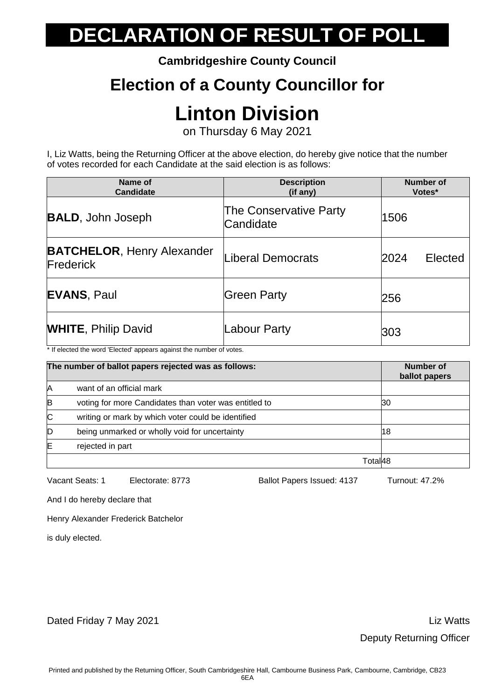**Cambridgeshire County Council**

### **Election of a County Councillor for**

## **Linton Division**

on Thursday 6 May 2021

I, Liz Watts, being the Returning Officer at the above election, do hereby give notice that the number of votes recorded for each Candidate at the said election is as follows:

| Name of<br><b>Candidate</b>                                                                                                | <b>Description</b><br>(if any)             | <b>Number of</b><br>Votes* |
|----------------------------------------------------------------------------------------------------------------------------|--------------------------------------------|----------------------------|
| <b>BALD, John Joseph</b>                                                                                                   | <b>The Conservative Party</b><br>Candidate | 1506                       |
| <b>BATCHELOR, Henry Alexander</b><br>Frederick                                                                             | iberal Democrats                           | 2024<br>Elected            |
| <b>EVANS, Paul</b>                                                                                                         | <b>Green Party</b>                         | 256                        |
| <b>WHITE, Philip David</b><br>$\mathbf{A}$ and $\mathbf{A}$ and $\mathbf{A}$ and $\mathbf{A}$ and $\mathbf{A}$<br>$\cdots$ | abour Party                                | 303                        |

\* If elected the word 'Elected' appears against the number of votes.

| The number of ballot papers rejected was as follows: |                                                       | Number of<br>ballot papers |    |
|------------------------------------------------------|-------------------------------------------------------|----------------------------|----|
| Α                                                    | want of an official mark                              |                            |    |
| B                                                    | voting for more Candidates than voter was entitled to |                            | 30 |
| $\mathsf{C}$                                         | writing or mark by which voter could be identified    |                            |    |
| D                                                    | being unmarked or wholly void for uncertainty         |                            | 18 |
| E                                                    | rejected in part                                      |                            |    |
|                                                      |                                                       | Totall48                   |    |

Vacant Seats: 1 Electorate: 8773 Ballot Papers Issued: 4137 Turnout: 47.2%

And I do hereby declare that

Henry Alexander Frederick Batchelor

is duly elected.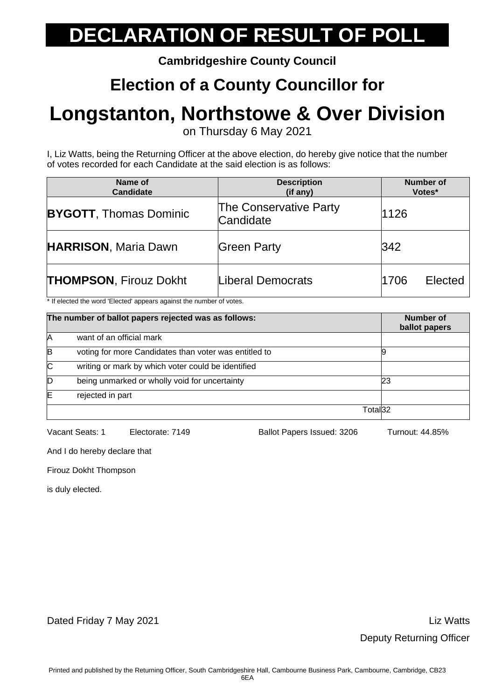**Cambridgeshire County Council**

### **Election of a County Councillor for**

## **Longstanton, Northstowe & Over Division**

on Thursday 6 May 2021

I, Liz Watts, being the Returning Officer at the above election, do hereby give notice that the number of votes recorded for each Candidate at the said election is as follows:

| Name of<br><b>Candidate</b>                                                 | <b>Description</b><br>(if any) | <b>Number of</b><br>Votes* |
|-----------------------------------------------------------------------------|--------------------------------|----------------------------|
| <b>The Conservative Party</b><br><b>BYGOTT, Thomas Dominic</b><br>Candidate |                                | 1126                       |
| <b>HARRISON, Maria Dawn</b>                                                 | <b>Green Party</b>             | 342                        |
| <b>THOMPSON, Firouz Dokht</b>                                               | Liberal Democrats              | 1706<br>Elected            |

\* If elected the word 'Elected' appears against the number of votes.

| The number of ballot papers rejected was as follows: |                                                       | Number of<br>ballot papers |    |
|------------------------------------------------------|-------------------------------------------------------|----------------------------|----|
| A                                                    | want of an official mark                              |                            |    |
| B                                                    | voting for more Candidates than voter was entitled to |                            |    |
| $\mathsf{C}$                                         | writing or mark by which voter could be identified    |                            |    |
| ID                                                   | being unmarked or wholly void for uncertainty         |                            | 23 |
| E                                                    | rejected in part                                      |                            |    |
|                                                      |                                                       | Total32                    |    |

Vacant Seats: 1 Electorate: 7149 Ballot Papers Issued: 3206 Turnout: 44.85%

And I do hereby declare that

Firouz Dokht Thompson

is duly elected.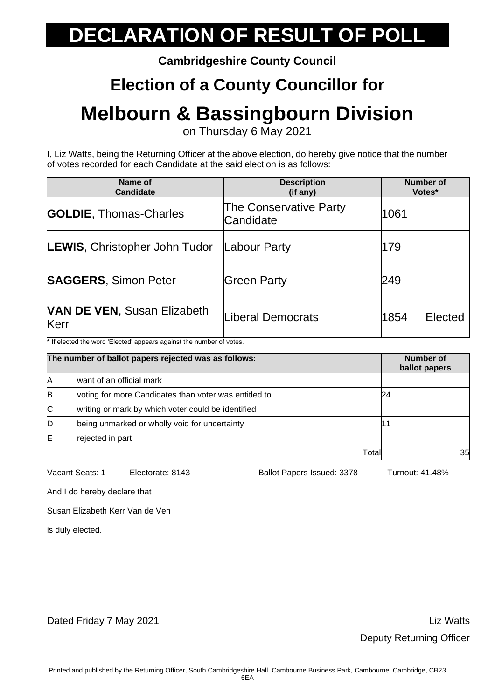**Cambridgeshire County Council**

### **Election of a County Councillor for**

### **Melbourn & Bassingbourn Division**

on Thursday 6 May 2021

I, Liz Watts, being the Returning Officer at the above election, do hereby give notice that the number of votes recorded for each Candidate at the said election is as follows:

| Name of<br>Candidate                       | <b>Description</b><br>(if any)              | <b>Number of</b><br>Votes* |
|--------------------------------------------|---------------------------------------------|----------------------------|
| <b>GOLDIE, Thomas-Charles</b>              | The Conservative Party<br>1061<br>Candidate |                            |
| <b>LEWIS, Christopher John Tudor</b>       | Labour Party                                | 179                        |
| <b>SAGGERS, Simon Peter</b>                | <b>Green Party</b>                          | 249                        |
| <b>VAN DE VEN, Susan Elizabeth</b><br>Kerr | iberal Democrats                            | 1854<br>Elected            |

\* If elected the word 'Elected' appears against the number of votes.

| The number of ballot papers rejected was as follows: |                                                       | Number of<br>ballot papers |    |
|------------------------------------------------------|-------------------------------------------------------|----------------------------|----|
| A                                                    | want of an official mark                              |                            |    |
| B                                                    | voting for more Candidates than voter was entitled to |                            | 24 |
| IС                                                   | writing or mark by which voter could be identified    |                            |    |
| D                                                    | being unmarked or wholly void for uncertainty         |                            |    |
| ΙE                                                   | rejected in part                                      |                            |    |
|                                                      |                                                       | Total                      | 35 |

Vacant Seats: 1 Electorate: 8143 Ballot Papers Issued: 3378 Turnout: 41.48%

And I do hereby declare that

Susan Elizabeth Kerr Van de Ven

is duly elected.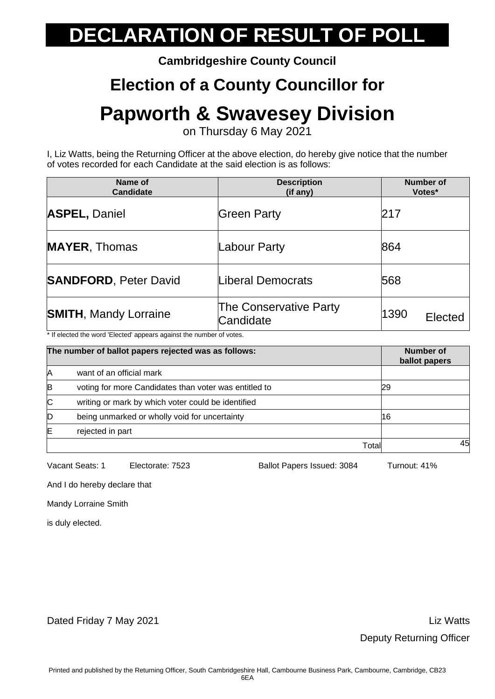**Cambridgeshire County Council**

### **Election of a County Councillor for**

## **Papworth & Swavesey Division**

on Thursday 6 May 2021

I, Liz Watts, being the Returning Officer at the above election, do hereby give notice that the number of votes recorded for each Candidate at the said election is as follows:

| Name of<br><b>Candidate</b>  | <b>Description</b><br>$(if$ any)    |                 |
|------------------------------|-------------------------------------|-----------------|
| <b>ASPEL, Daniel</b>         | <b>Green Party</b>                  | 217             |
| <b>MAYER, Thomas</b>         | Labour Party                        | 864             |
| <b>SANDFORD, Peter David</b> | Liberal Democrats                   | 568             |
| <b>SMITH, Mandy Lorraine</b> | The Conservative Party<br>Candidate | 1390<br>Elected |

\* If elected the word 'Elected' appears against the number of votes.

|    | The number of ballot papers rejected was as follows:  |       | Number of<br>ballot papers |
|----|-------------------------------------------------------|-------|----------------------------|
| A  | want of an official mark                              |       |                            |
| B  | voting for more Candidates than voter was entitled to |       | 29                         |
| IС | writing or mark by which voter could be identified    |       |                            |
| D  | being unmarked or wholly void for uncertainty         |       | 16                         |
| ΙE | rejected in part                                      |       |                            |
|    |                                                       | Total | 45                         |

Vacant Seats: 1 Electorate: 7523 Ballot Papers Issued: 3084 Turnout: 41%

And I do hereby declare that

Mandy Lorraine Smith

is duly elected.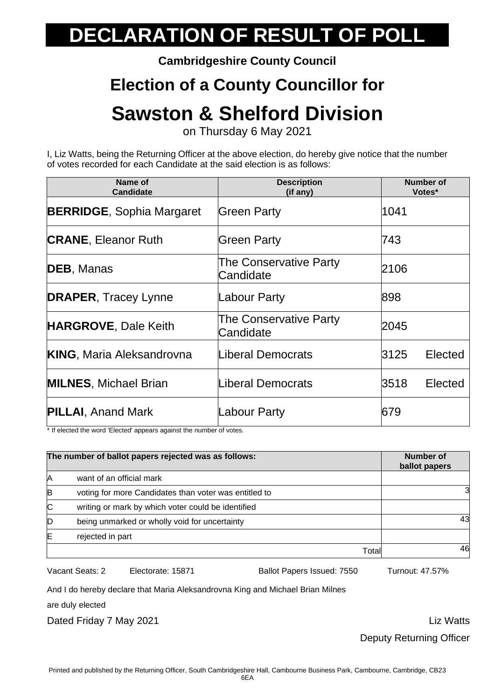**Cambridgeshire County Council**

### **Election of a County Councillor for**

## **Sawston & Shelford Division**

on Thursday 6 May 2021

I, Liz Watts, being the Returning Officer at the above election, do hereby give notice that the number of votes recorded for each Candidate at the said election is as follows:

| Name of<br><b>Candidate</b>      | <b>Description</b><br>(if any)             | <b>Number of</b><br>Votes* |
|----------------------------------|--------------------------------------------|----------------------------|
| <b>BERRIDGE, Sophia Margaret</b> | <b>Green Party</b>                         | 1041                       |
| <b>CRANE, Eleanor Ruth</b>       | Green Party                                | 743                        |
| <b>DEB, Manas</b>                | The Conservative Party<br>Candidate        | 2106                       |
| <b>DRAPER, Tracey Lynne</b>      | Labour Party                               | 898                        |
| <b>HARGROVE, Dale Keith</b>      | <b>The Conservative Party</b><br>Candidate | 2045                       |
| <b>KING, Maria Aleksandrovna</b> | Liberal Democrats                          | 3125<br>Elected            |
| <b>MILNES, Michael Brian</b>     | Liberal Democrats                          | 3518<br>Elected            |
| <b>PILLAI</b> , Anand Mark       | Labour Party                               | 679                        |

\* If elected the word 'Elected' appears against the number of votes.

| The number of ballot papers rejected was as follows: |                                                       | <b>Number of</b><br>ballot papers |     |
|------------------------------------------------------|-------------------------------------------------------|-----------------------------------|-----|
| A                                                    | want of an official mark                              |                                   |     |
| B                                                    | voting for more Candidates than voter was entitled to |                                   | 3   |
| IС                                                   | writing or mark by which voter could be identified    |                                   |     |
| D                                                    | being unmarked or wholly void for uncertainty         |                                   | 431 |
| ΙE                                                   | rejected in part                                      |                                   |     |
|                                                      |                                                       | Total                             | 46  |

Vacant Seats: 2 Electorate: 15871 Ballot Papers Issued: 7550 Turnout: 47.57%

And I do hereby declare that Maria Aleksandrovna King and Michael Brian Milnes

are duly elected

Dated Friday 7 May 2021 **Liz Watts Dated Friday 7 May 2021** 

Deputy Returning Officer